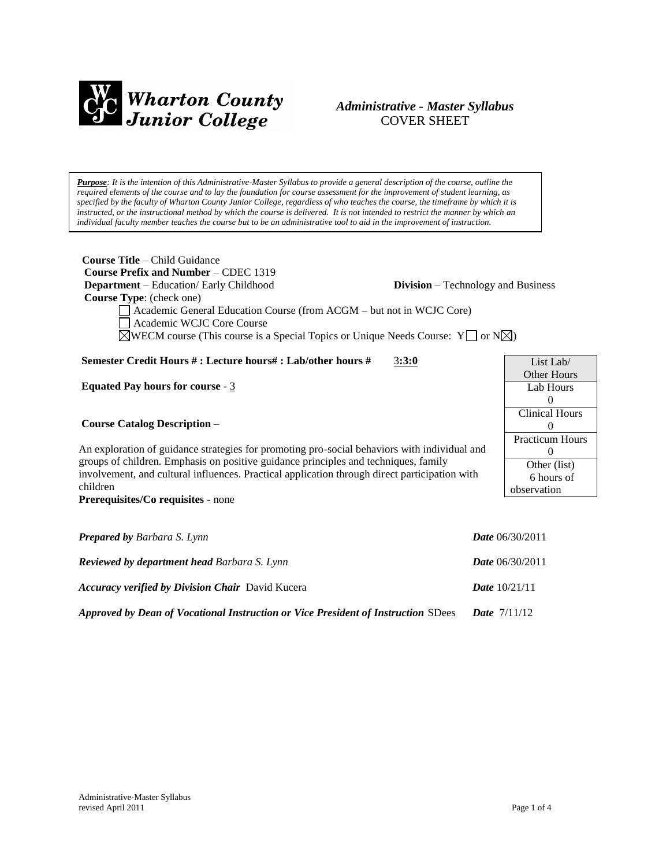

# *Administrative - Master Syllabus*  COVER SHEET

*Purpose: It is the intention of this Administrative-Master Syllabus to provide a general description of the course, outline the required elements of the course and to lay the foundation for course assessment for the improvement of student learning, as specified by the faculty of Wharton County Junior College, regardless of who teaches the course, the timeframe by which it is instructed, or the instructional method by which the course is delivered. It is not intended to restrict the manner by which an individual faculty member teaches the course but to be an administrative tool to aid in the improvement of instruction.*

| <b>Course Title - Child Guidance</b><br>Course Prefix and Number – CDEC 1319<br>Department - Education/ Early Childhood<br><b>Division</b> – Technology and Business<br>Course Type: (check one)<br>Academic General Education Course (from ACGM - but not in WCJC Core)<br>Academic WCJC Core Course<br>$\boxtimes$ WECM course (This course is a Special Topics or Unique Needs Course: Y $\Box$ or N $\boxtimes$ ) |                          |  |
|-----------------------------------------------------------------------------------------------------------------------------------------------------------------------------------------------------------------------------------------------------------------------------------------------------------------------------------------------------------------------------------------------------------------------|--------------------------|--|
| Semester Credit Hours #: Lecture hours#: Lab/other hours #<br>3:3:0                                                                                                                                                                                                                                                                                                                                                   | List Lab/                |  |
|                                                                                                                                                                                                                                                                                                                                                                                                                       | <b>Other Hours</b>       |  |
| Equated Pay hours for course - $3$                                                                                                                                                                                                                                                                                                                                                                                    | Lab Hours                |  |
|                                                                                                                                                                                                                                                                                                                                                                                                                       | $\mathbf{0}$             |  |
|                                                                                                                                                                                                                                                                                                                                                                                                                       | <b>Clinical Hours</b>    |  |
| <b>Course Catalog Description -</b>                                                                                                                                                                                                                                                                                                                                                                                   | 0                        |  |
|                                                                                                                                                                                                                                                                                                                                                                                                                       | <b>Practicum Hours</b>   |  |
| An exploration of guidance strategies for promoting pro-social behaviors with individual and                                                                                                                                                                                                                                                                                                                          | $\Omega$                 |  |
| groups of children. Emphasis on positive guidance principles and techniques, family                                                                                                                                                                                                                                                                                                                                   | Other (list)             |  |
| involvement, and cultural influences. Practical application through direct participation with<br>children                                                                                                                                                                                                                                                                                                             | 6 hours of               |  |
|                                                                                                                                                                                                                                                                                                                                                                                                                       | observation              |  |
| Prerequisites/Co requisites - none                                                                                                                                                                                                                                                                                                                                                                                    |                          |  |
| <b>Prepared by Barbara S. Lynn</b>                                                                                                                                                                                                                                                                                                                                                                                    | Date 06/30/2011          |  |
| <b>Reviewed by department head Barbara S. Lynn</b>                                                                                                                                                                                                                                                                                                                                                                    | <i>Date</i> $06/30/2011$ |  |
| <b>Accuracy verified by Division Chair</b> David Kucera<br><i>Date</i> $10/21/11$                                                                                                                                                                                                                                                                                                                                     |                          |  |

*Approved by Dean of Vocational Instruction or Vice President of Instruction* SDees *Date* 7/11/12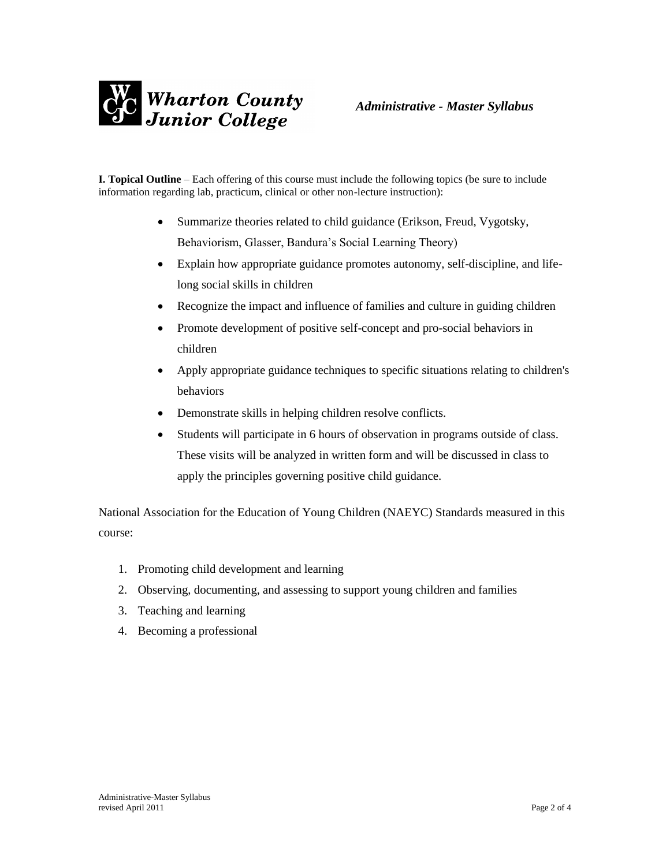

**I. Topical Outline** – Each offering of this course must include the following topics (be sure to include information regarding lab, practicum, clinical or other non-lecture instruction):

- Summarize theories related to child guidance (Erikson, Freud, Vygotsky, Behaviorism, Glasser, Bandura's Social Learning Theory)
- Explain how appropriate guidance promotes autonomy, self-discipline, and lifelong social skills in children
- Recognize the impact and influence of families and culture in guiding children
- Promote development of positive self-concept and pro-social behaviors in children
- Apply appropriate guidance techniques to specific situations relating to children's behaviors
- Demonstrate skills in helping children resolve conflicts.
- Students will participate in 6 hours of observation in programs outside of class. These visits will be analyzed in written form and will be discussed in class to apply the principles governing positive child guidance.

National Association for the Education of Young Children (NAEYC) Standards measured in this course:

- 1. Promoting child development and learning
- 2. Observing, documenting, and assessing to support young children and families
- 3. Teaching and learning
- 4. Becoming a professional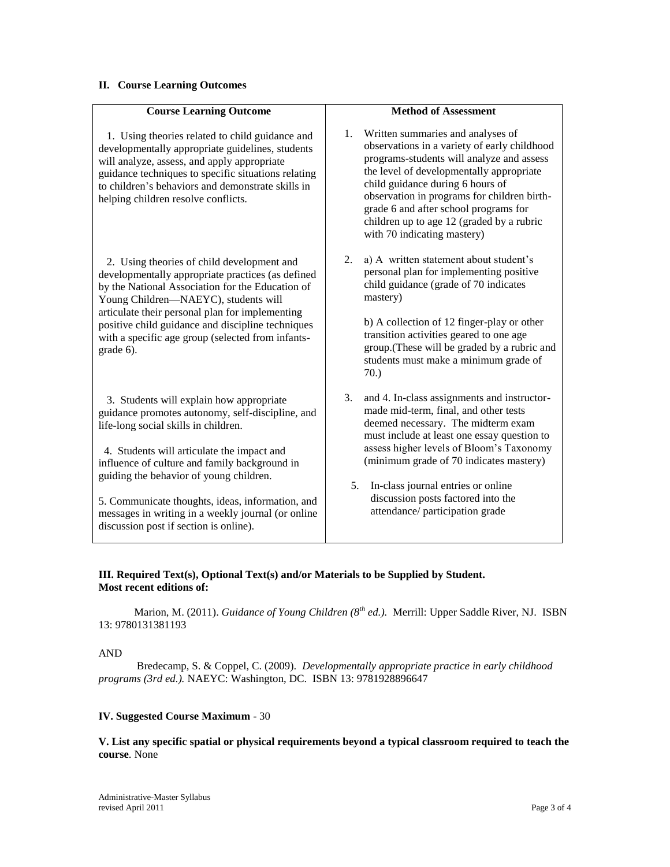## **II. Course Learning Outcomes**

| <b>Course Learning Outcome</b>                                                                                                                                                                                                                                                                                                                                                                                                     | <b>Method of Assessment</b>                                                                                                                                                                                                                                                                                                                                                                 |
|------------------------------------------------------------------------------------------------------------------------------------------------------------------------------------------------------------------------------------------------------------------------------------------------------------------------------------------------------------------------------------------------------------------------------------|---------------------------------------------------------------------------------------------------------------------------------------------------------------------------------------------------------------------------------------------------------------------------------------------------------------------------------------------------------------------------------------------|
| 1. Using theories related to child guidance and<br>developmentally appropriate guidelines, students<br>will analyze, assess, and apply appropriate<br>guidance techniques to specific situations relating<br>to children's behaviors and demonstrate skills in<br>helping children resolve conflicts.                                                                                                                              | 1. Written summaries and analyses of<br>observations in a variety of early childhood<br>programs-students will analyze and assess<br>the level of developmentally appropriate<br>child guidance during 6 hours of<br>observation in programs for children birth-<br>grade 6 and after school programs for<br>children up to age 12 (graded by a rubric<br>with 70 indicating mastery)       |
| 2. Using theories of child development and<br>developmentally appropriate practices (as defined<br>by the National Association for the Education of<br>Young Children-NAEYC), students will<br>articulate their personal plan for implementing<br>positive child guidance and discipline techniques<br>with a specific age group (selected from infants-<br>grade 6).                                                              | a) A written statement about student's<br>2.<br>personal plan for implementing positive<br>child guidance (grade of 70 indicates<br>mastery)<br>b) A collection of 12 finger-play or other<br>transition activities geared to one age<br>group.(These will be graded by a rubric and<br>students must make a minimum grade of<br>70.                                                        |
| 3. Students will explain how appropriate<br>guidance promotes autonomy, self-discipline, and<br>life-long social skills in children.<br>4. Students will articulate the impact and<br>influence of culture and family background in<br>guiding the behavior of young children.<br>5. Communicate thoughts, ideas, information, and<br>messages in writing in a weekly journal (or online<br>discussion post if section is online). | 3.<br>and 4. In-class assignments and instructor-<br>made mid-term, final, and other tests<br>deemed necessary. The midterm exam<br>must include at least one essay question to<br>assess higher levels of Bloom's Taxonomy<br>(minimum grade of 70 indicates mastery)<br>5.<br>In-class journal entries or online<br>discussion posts factored into the<br>attendance/ participation grade |

### **III. Required Text(s), Optional Text(s) and/or Materials to be Supplied by Student. Most recent editions of:**

 Marion, M. (2011). *Guidance of Young Children (8th ed.).* Merrill: Upper Saddle River, NJ. ISBN 13: 9780131381193

### AND

 Bredecamp, S. & Coppel, C. (2009). *Developmentally appropriate practice in early childhood programs (3rd ed.).* NAEYC: Washington, DC. ISBN 13: 9781928896647

# **IV. Suggested Course Maximum** - 30

**V. List any specific spatial or physical requirements beyond a typical classroom required to teach the course**. None